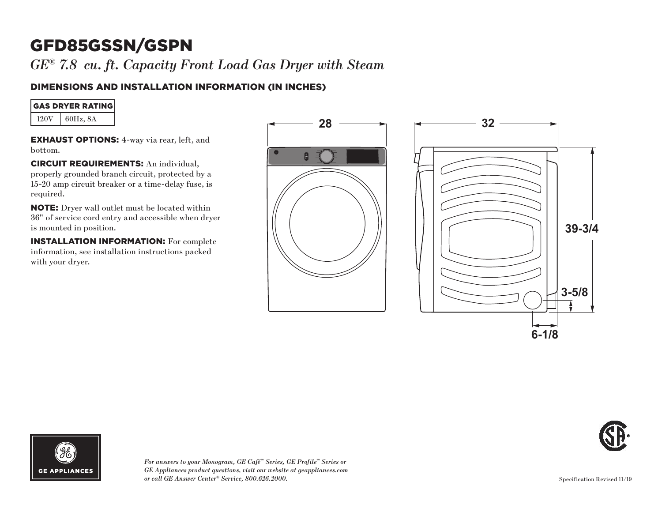*GE® 7.8 cu. ft. Capacity Front Load Gas Dryer with Steam*

# DIMENSIONS AND INSTALLATION INFORMATION (IN INCHES)

| <b>GAS DRYER RATING</b> |
|-------------------------|
|-------------------------|

 $120V$  60Hz, 8A

EXHAUST OPTIONS: 4-way via rear, left, and bottom.

CIRCUIT REQUIREMENTS: An individual, properly grounded branch circuit, protected by a 15-20 amp circuit breaker or a time-delay fuse, is required.

NOTE: Dryer wall outlet must be located within 36" of service cord entry and accessible when dryer is mounted in position.

INSTALLATION INFORMATION: For complete information, see installation instructions packed with your dryer.









*For answers to your Monogram, GE Café™ Series, GE Profile™ Series or GE Appliances product questions, visit our website at geappliances.com or call GE Answer Center® Service, 800.626.2000.*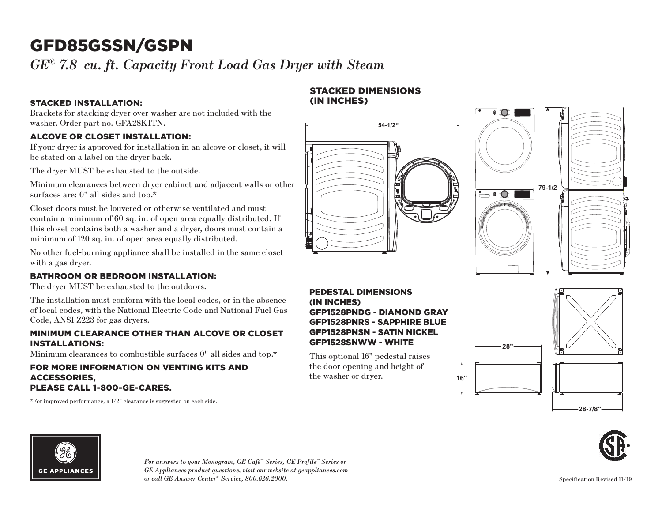*GE® 7.8 cu. ft. Capacity Front Load Gas Dryer with Steam*

### STACKED INSTALLATION:

Brackets for stacking dryer over washer are not included with the washer. Order part no. GFA28KITN.

### ALCOVE OR CLOSET INSTALLATION:

If your dryer is approved for installation in an alcove or closet, it will be stated on a label on the dryer back.

The dryer MUST be exhausted to the outside.

Minimum clearances between dryer cabinet and adjacent walls or other surfaces are: 0" all sides and top.\*

Closet doors must be louvered or otherwise ventilated and must contain a minimum of 60 sq. in. of open area equally distributed. If this closet contains both a washer and a dryer, doors must contain a minimum of 120 sq. in. of open area equally distributed.

No other fuel-burning appliance shall be installed in the same closet with a gas dryer.

# BATHROOM OR BEDROOM INSTALLATION:

The dryer MUST be exhausted to the outdoors.

The installation must conform with the local codes, or in the absence of local codes, with the National Electric Code and National Fuel Gas Code, ANSI Z223 for gas dryers.

### MINIMUM CLEARANCE OTHER THAN ALCOVE OR CLOSET INSTALLATIONS:

Minimum clearances to combustible surfaces 0" all sides and top.\*

#### FOR MORE INFORMATION ON VENTING KITS AND ACCESSORIES, PLEASE CALL 1-800-GE-CARES.

\*For improved performance, a 1/2" clearance is suggested on each side.

### STACKED DIMENSIONS (IN INCHES)





#### PEDESTAL DIMENSIONS (IN INCHES) GFP1528PNDG - DIAMOND GRAY GFP1528PNRS - SAPPHIRE BLUE GFP1528PNSN - SATIN NICKEL GFP1528SNWW - WHITE

**16"**

This optional 16" pedestal raises the door opening and height of the washer or dryer.







*For answers to your Monogram, GE Café™ Series, GE Profile™ Series or GE Appliances product questions, visit our website at geappliances.com or call GE Answer Center® Service, 800.626.2000.*

Specification Revised 11/19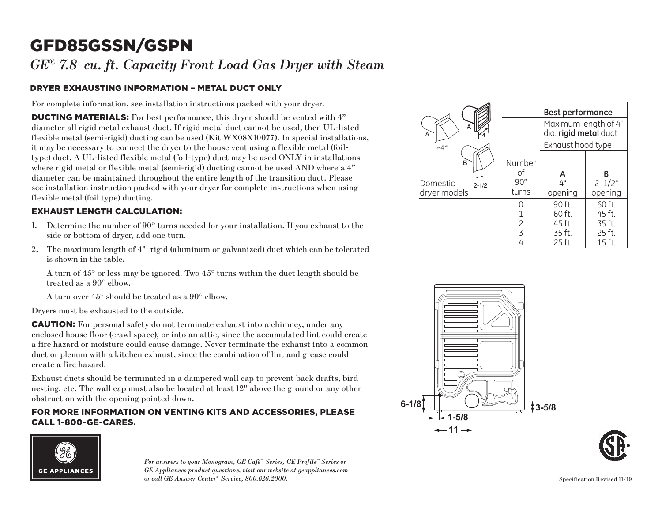*GE® 7.8 cu. ft. Capacity Front Load Gas Dryer with Steam*

# DRYER EXHAUSTING INFORMATION – METAL DUCT ONLY

For complete information, see installation instructions packed with your dryer.

DUCTING MATERIALS: For best performance, this dryer should be vented with 4" diameter all rigid metal exhaust duct. If rigid metal duct cannot be used, then UL-listed flexible metal (semi-rigid) ducting can be used (Kit WX08X10077). In special installations, it may be necessary to connect the dryer to the house vent using a flexible metal (foiltype) duct. A UL-listed flexible metal (foil-type) duct may be used ONLY in installations where rigid metal or flexible metal (semi-rigid) ducting cannot be used AND where a 4" diameter can be maintained throughout the entire length of the transition duct. Please see installation instruction packed with your dryer for complete instructions when using flexible metal (foil type) ducting.

# EXHAUST LENGTH CALCULATION:

- 1. Determine the number of  $90^{\circ}$  turns needed for your installation. If you exhaust to the side or bottom of dryer, add one turn.
- 2. The maximum length of 4" rigid (aluminum or galvanized) duct which can be tolerated is shown in the table.

A turn of  $45^{\circ}$  or less may be ignored. Two  $45^{\circ}$  turns within the duct length should be treated as a 90° elbow.

A turn over 45° should be treated as a 90° elbow.

Dryers must be exhausted to the outside.

CAUTION: For personal safety do not terminate exhaust into a chimney, under any enclosed house floor (crawl space), or into an attic, since the accumulated lint could create a fire hazard or moisture could cause damage. Never terminate the exhaust into a common duct or plenum with a kitchen exhaust, since the combination of lint and grease could create a fire hazard.

Exhaust ducts should be terminated in a dampered wall cap to prevent back drafts, bird nesting, etc. The wall cap must also be located at least 12" above the ground or any other obstruction with the opening pointed down.

#### FOR MORE INFORMATION ON VENTING KITS AND ACCESSORIES, PLEASE CALL 1-800-GE-CARES.



*For answers to your Monogram, GE Café™ Series, GE Profile™ Series or GE Appliances product questions, visit our website at geappliances.com or call GE Answer Center® Service, 800.626.2000.*

|                                            |                                     | <b>Best performance</b>                       |                            |  |
|--------------------------------------------|-------------------------------------|-----------------------------------------------|----------------------------|--|
| A<br>A                                     |                                     | Maximum length of 4"<br>dia. rigid metal duct |                            |  |
| $-4 -$                                     |                                     |                                               | Exhaust hood type          |  |
| B<br>Domestic<br>$2 - 1/2$<br>dryer models | Number<br>Ωf<br>$90^\circ$<br>turns | А<br>4"<br>opening                            | R<br>$2 - 1/2"$<br>opening |  |
|                                            |                                     | 90 ft.                                        | 60 ft.                     |  |
|                                            |                                     | 60 ft.                                        | 45 ft.                     |  |
|                                            | 2                                   | $45$ ft.                                      | 35 ft.                     |  |
|                                            | 3                                   | 35 ft.                                        | 25 ft.                     |  |
|                                            |                                     | 25 ft.                                        | 15 ft.                     |  |